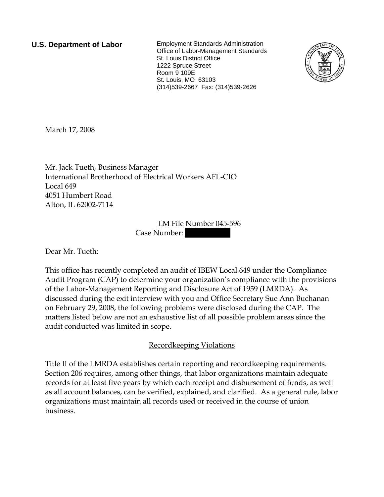**U.S. Department of Labor** Employment Standards Administration Office of Labor-Management Standards St. Louis District Office 1222 Spruce Street Room 9 109E St. Louis, MO 63103 (314)539-2667 Fax: (314)539-2626



March 17, 2008

Mr. Jack Tueth, Business Manager International Brotherhood of Electrical Workers AFL-CIO Local 649 4051 Humbert Road Alton, IL 62002-7114

> LM File Number 045-596 Case Number:

Dear Mr. Tueth:

This office has recently completed an audit of IBEW Local 649 under the Compliance Audit Program (CAP) to determine your organization's compliance with the provisions of the Labor-Management Reporting and Disclosure Act of 1959 (LMRDA). As discussed during the exit interview with you and Office Secretary Sue Ann Buchanan on February 29, 2008, the following problems were disclosed during the CAP. The matters listed below are not an exhaustive list of all possible problem areas since the audit conducted was limited in scope.

Recordkeeping Violations

Title II of the LMRDA establishes certain reporting and recordkeeping requirements. Section 206 requires, among other things, that labor organizations maintain adequate records for at least five years by which each receipt and disbursement of funds, as well as all account balances, can be verified, explained, and clarified. As a general rule, labor organizations must maintain all records used or received in the course of union business.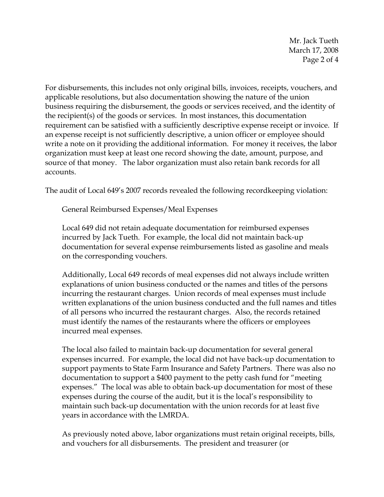Mr. Jack Tueth March 17, 2008 Page 2 of 4

For disbursements, this includes not only original bills, invoices, receipts, vouchers, and applicable resolutions, but also documentation showing the nature of the union business requiring the disbursement, the goods or services received, and the identity of the recipient(s) of the goods or services. In most instances, this documentation requirement can be satisfied with a sufficiently descriptive expense receipt or invoice. If an expense receipt is not sufficiently descriptive, a union officer or employee should write a note on it providing the additional information. For money it receives, the labor organization must keep at least one record showing the date, amount, purpose, and source of that money. The labor organization must also retain bank records for all accounts.

The audit of Local 649's 2007 records revealed the following recordkeeping violation:

General Reimbursed Expenses/Meal Expenses

Local 649 did not retain adequate documentation for reimbursed expenses incurred by Jack Tueth. For example, the local did not maintain back-up documentation for several expense reimbursements listed as gasoline and meals on the corresponding vouchers.

Additionally, Local 649 records of meal expenses did not always include written explanations of union business conducted or the names and titles of the persons incurring the restaurant charges. Union records of meal expenses must include written explanations of the union business conducted and the full names and titles of all persons who incurred the restaurant charges. Also, the records retained must identify the names of the restaurants where the officers or employees incurred meal expenses.

The local also failed to maintain back-up documentation for several general expenses incurred. For example, the local did not have back-up documentation to support payments to State Farm Insurance and Safety Partners. There was also no documentation to support a \$400 payment to the petty cash fund for "meeting expenses." The local was able to obtain back-up documentation for most of these expenses during the course of the audit, but it is the local's responsibility to maintain such back-up documentation with the union records for at least five years in accordance with the LMRDA.

As previously noted above, labor organizations must retain original receipts, bills, and vouchers for all disbursements. The president and treasurer (or